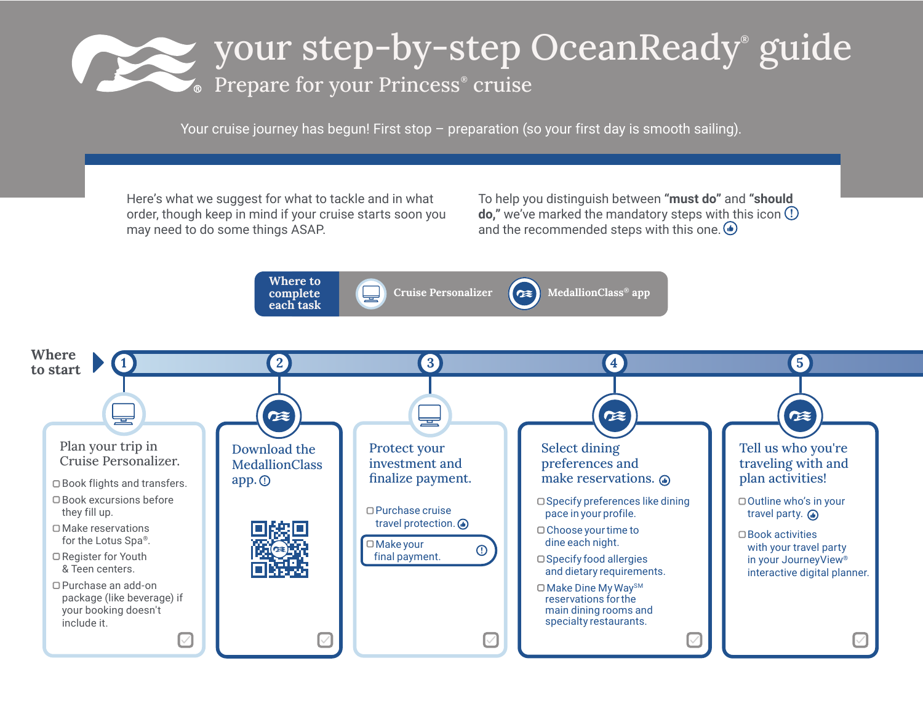## your step-by-step OceanReady® guide Prepare for your Princess® cruise

Your cruise journey has begun! First stop – preparation (so your first day is smooth sailing).

Here's what we suggest for what to tackle and in what order, though keep in mind if your cruise starts soon you may need to do some things ASAP.

To help you distinguish between **"must do"** and **"should do,"** we've marked the mandatory steps with this icon  $\Omega$ and the recommended steps with this one.  $\bigcirc$